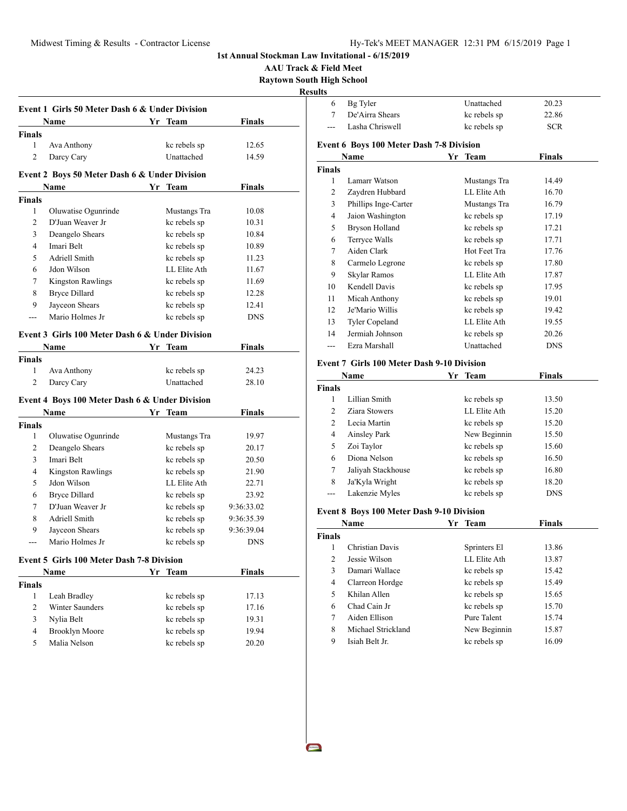**AAU Track & Field Meet Raytown South High School**

**Results**

|                | Event 1 Girls 50 Meter Dash 6 & Under Division<br>Name |    |                              | <b>Finals</b>  |
|----------------|--------------------------------------------------------|----|------------------------------|----------------|
| <b>Finals</b>  |                                                        |    | Yr Team                      |                |
| 1              | Ava Anthony                                            |    | kc rebels sp                 | 12.65          |
| $\overline{c}$ | Darcy Cary                                             |    | Unattached                   | 14.59          |
|                |                                                        |    |                              |                |
|                | Event 2 Boys 50 Meter Dash 6 & Under Division          |    |                              |                |
|                | Name                                                   | Yr | Team                         | Finals         |
| <b>Finals</b>  |                                                        |    |                              |                |
| 1              | Oluwatise Ogunrinde                                    |    | Mustangs Tra                 | 10.08          |
| 2              | D'Juan Weaver Jr                                       |    | kc rebels sp                 | 10.31          |
| 3              | Deangelo Shears                                        |    | kc rebels sp                 | 10.84          |
| 4              | Imari Belt                                             |    | kc rebels sp                 | 10.89          |
| 5              | Adriell Smith                                          |    | kc rebels sp                 | 11.23          |
| 6              | Jdon Wilson                                            |    | LL Elite Ath                 | 11.67          |
| 7              | <b>Kingston Rawlings</b>                               |    | kc rebels sp                 | 11.69          |
| 8              | <b>Bryce Dillard</b>                                   |    | kc rebels sp                 | 12.28          |
| 9              | Jayceon Shears                                         |    | kc rebels sp                 | 12.41          |
| ---            | Mario Holmes Jr                                        |    | kc rebels sp                 | <b>DNS</b>     |
|                | Event 3 Girls 100 Meter Dash 6 & Under Division        |    |                              |                |
|                | Name                                                   | Yr | Team                         | Finals         |
| <b>Finals</b>  |                                                        |    |                              |                |
| 1              | Ava Anthony                                            |    | kc rebels sp                 | 24.23          |
| 2              | Darcy Cary                                             |    | Unattached                   | 28.10          |
|                |                                                        |    |                              |                |
|                | Event 4 Boys 100 Meter Dash 6 & Under Division<br>Name |    | Yr Team                      | Finals         |
| <b>Finals</b>  |                                                        |    |                              |                |
| 1              | Oluwatise Ogunrinde                                    |    | Mustangs Tra                 | 19.97          |
| 2              | Deangelo Shears                                        |    | kc rebels sp                 | 20.17          |
| 3              | Imari Belt                                             |    | kc rebels sp                 | 20.50          |
| 4              | <b>Kingston Rawlings</b>                               |    | kc rebels sp                 | 21.90          |
| 5              | Jdon Wilson                                            |    | LL Elite Ath                 | 22.71          |
| 6              | <b>Bryce Dillard</b>                                   |    | kc rebels sp                 | 23.92          |
| 7              | D'Juan Weaver Jr                                       |    | kc rebels sp                 | 9:36:33.02     |
|                | Adriell Smith                                          |    | kc rebels sp                 | 9:36:35.39     |
|                |                                                        |    |                              |                |
| 8<br>9         |                                                        |    |                              |                |
|                | Jayceon Shears                                         |    | kc rebels sp                 | 9:36:39.04     |
|                | Mario Holmes Jr                                        |    | kc rebels sp                 | <b>DNS</b>     |
|                | Event 5 Girls 100 Meter Dash 7-8 Division              |    |                              |                |
|                | Name                                                   |    | Yr Team                      | <b>Finals</b>  |
| <b>Finals</b>  |                                                        |    |                              |                |
| $\mathbf{1}$   | Leah Bradley                                           |    | kc rebels sp                 | 17.13          |
| 2              | Winter Saunders                                        |    | kc rebels sp                 | 17.16          |
| 3              | Nylia Belt                                             |    | kc rebels sp                 | 19.31          |
| 4<br>5         | <b>Brooklyn Moore</b><br>Malia Nelson                  |    | kc rebels sp<br>kc rebels sp | 19.94<br>20.20 |

| uns            |                                                 |    |              |               |
|----------------|-------------------------------------------------|----|--------------|---------------|
| 6              | Bg Tyler                                        |    | Unattached   | 20.23         |
| 7              | De'Airra Shears                                 |    | kc rebels sp | 22.86         |
|                | Lasha Chriswell                                 |    | kc rebels sp | <b>SCR</b>    |
|                | <b>Event 6 Boys 100 Meter Dash 7-8 Division</b> |    |              |               |
|                | Name                                            | Yr | <b>Team</b>  | <b>Finals</b> |
| <b>Finals</b>  |                                                 |    |              |               |
| 1              | Lamarr Watson                                   |    | Mustangs Tra | 14.49         |
| $\overline{c}$ | Zaydren Hubbard                                 |    | LL Elite Ath | 16.70         |
| 3              | Phillips Inge-Carter                            |    | Mustangs Tra | 16.79         |
| 4              | Jaion Washington                                |    | kc rebels sp | 17.19         |
| 5              | Bryson Holland                                  |    | kc rebels sp | 17.21         |
| 6              | Terryce Walls                                   |    | kc rebels sp | 17.71         |
| 7              | Aiden Clark                                     |    | Hot Feet Tra | 17.76         |
| 8              | Carmelo Legrone                                 |    | kc rebels sp | 17.80         |
| 9              | Skylar Ramos                                    |    | LL Elite Ath | 17.87         |
| 10             | Kendell Davis                                   |    | kc rebels sp | 17.95         |
| 11             | Micah Anthony                                   |    | kc rebels sp | 19.01         |
| 12             | Je'Mario Willis                                 |    | kc rebels sp | 19.42         |
| 13             | <b>Tyler Copeland</b>                           |    | LL Elite Ath | 19.55         |
| 14             | Jermiah Johnson                                 |    | kc rebels sp | 20.26         |
| ---            | Ezra Marshall                                   |    | Unattached   | <b>DNS</b>    |
|                |                                                 |    |              |               |

#### **Event 7 Girls 100 Meter Dash 9-10 Division**

| Name           |                    | <b>Team</b><br>Yr | <b>Finals</b> |
|----------------|--------------------|-------------------|---------------|
| <b>Finals</b>  |                    |                   |               |
|                | Lillian Smith      | kc rebels sp      | 13.50         |
| 2              | Ziara Stowers      | LL Elite Ath      | 15.20         |
| $\mathfrak{D}$ | Lecia Martin       | kc rebels sp      | 15.20         |
| 4              | Ainsley Park       | New Beginnin      | 15.50         |
| 5              | Zoi Taylor         | kc rebels sp      | 15.60         |
| 6              | Diona Nelson       | kc rebels sp      | 16.50         |
| 7              | Jaliyah Stackhouse | kc rebels sp      | 16.80         |
| 8              | Ja'Kyla Wright     | kc rebels sp      | 18.20         |
|                | Lakenzie Myles     | kc rebels sp      | <b>DNS</b>    |

## **Event 8 Boys 100 Meter Dash 9-10 Division**

| <b>Name</b>   |                    | Yr Team      | Finals |
|---------------|--------------------|--------------|--------|
| <b>Finals</b> |                    |              |        |
| 1             | Christian Davis    | Sprinters El | 13.86  |
| 2             | Jessie Wilson      | LL Elite Ath | 13.87  |
| 3             | Damari Wallace     | kc rebels sp | 15.42  |
| 4             | Clarreon Hordge    | kc rebels sp | 15.49  |
| 5             | Khilan Allen       | kc rebels sp | 15.65  |
| 6             | Chad Cain Jr       | kc rebels sp | 15.70  |
| 7             | Aiden Ellison      | Pure Talent  | 15.74  |
| 8             | Michael Strickland | New Beginnin | 15.87  |
| 9             | Isiah Belt Jr.     | kc rebels sp | 16.09  |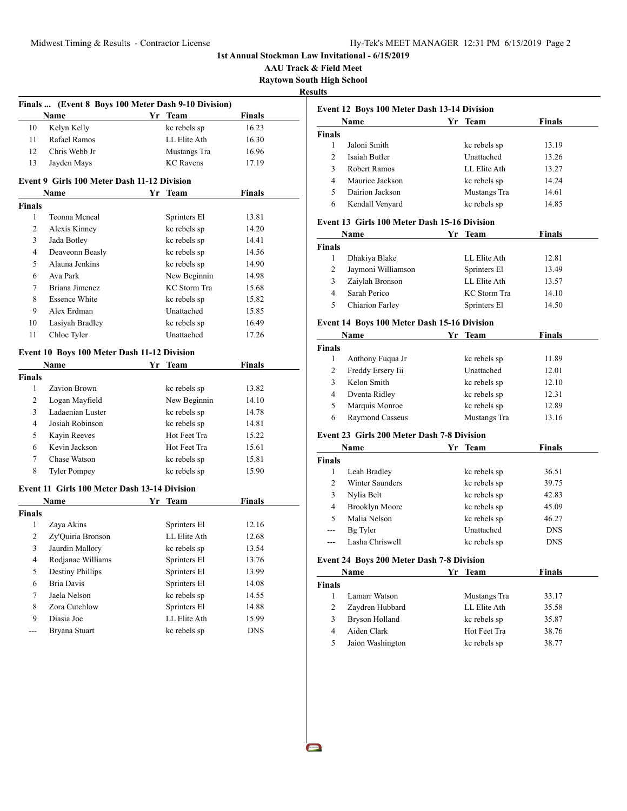**1st Annual Stockman Law Invitational - 6/15/2019 AAU Track & Field Meet Raytown South High School Results Finals ... (Event 8 Boys 100 Meter Dash 9-10 Division) Name Yr Team Finals** 10 Kelyn Kelly kc rebels sp 16.23 11 Rafael Ramos LL Elite Ath 16.30 12 Chris Webb Jr Mustangs Tra 16.96 13 Jayden Mays KC Ravens 17.19 **Event 9 Girls 100 Meter Dash 11-12 Division Name Vr** Team **Finals Finals** 1 Teonna Mcneal Sprinters El 13.81 2 Alexis Kinney kc rebels sp 14.20 3 Jada Botley kc rebels sp 14.41 4 Deaveonn Beasly kc rebels sp 14.56 5 Alauna Jenkins kc rebels sp 14.90 6 Ava Park New Beginnin 14.98 7 Briana Jimenez KC Storm Tra 15.68 8 Essence White kc rebels sp 15.82 9 Alex Erdman Unattached 15.85 10 Lasiyah Bradley kc rebels sp 16.49 11 Chloe Tyler Unattached 17.26 **Event 10 Boys 100 Meter Dash 11-12 Division Name Yr Team Finals Finals** 1 Zavion Brown kc rebels sp 13.82 2 Logan Mayfield New Beginnin 14.10 3 Ladaenian Luster kc rebels sp 14.78 4 Josiah Robinson kc rebels sp 14.81 5 Kayin Reeves Hot Feet Tra 15.22 6 Kevin Jackson Hot Feet Tra 15.61 7 Chase Watson kc rebels sp 15.81 8 Tyler Pompey kc rebels sp 15.90 **Event 11 Girls 100 Meter Dash 13-14 Division Name Yr Team Finals Finals** 1 Zaya Akins Sprinters El 12.16 2 Zy'Quiria Bronson LL Elite Ath 12.68 3 Jaurdin Mallory kc rebels sp 13.54 4 Rodjanae Williams Sprinters El 13.76 5 Destiny Phillips Sprinters El 13.99 6 Bria Davis Sprinters El 14.08 7 Jaela Nelson kc rebels sp 14.55 8 Zora Cutchlow Sprinters El 14.88 9 Diasia Joe LL Elite Ath 15.99 Bryana Stuart kc rebels sp DNS

## **Event 12 Boys 100 Meter Dash 13-14 Division Name Yr Team Finals Finals** 1 Jaloni Smith kc rebels sp 13.19 2 Isaiah Butler Unattached 13.26 3 Robert Ramos LL Elite Ath 13.27 4 Maurice Jackson kc rebels sp 14.24 5 Dairion Jackson Mustangs Tra 14.61 6 Kendall Venyard kc rebels sp 14.85 **Event 13 Girls 100 Meter Dash 15-16 Division Name Yr Team Finals Finals** 1 Dhakiya Blake LL Elite Ath 12.81 2 Jaymoni Williamson Sprinters El 13.49 3 Zaiylah Bronson LL Elite Ath 13.57 4 Sarah Perico KC Storm Tra 14.10 5 Chiarion Farley Sprinters El 14.50 **Event 14 Boys 100 Meter Dash 15-16 Division Name Yr Team Finals Finals** 1 Anthony Fuqua Jr kc rebels sp 11.89 2 Freddy Ersery Iii Unattached 12.01 3 Kelon Smith kc rebels sp 12.10 4 Dventa Ridley kc rebels sp 12.31 5 Marquis Monroe kc rebels sp 12.89 6 Raymond Casseus Mustangs Tra 13.16 **Event 23 Girls 200 Meter Dash 7-8 Division Name Yr Team Finals Finals** 1 Leah Bradley kc rebels sp  $36.51$ 2 Winter Saunders kc rebels sp 39.75 3 Nylia Belt kc rebels sp 42.83 4 Brooklyn Moore kc rebels sp 45.09 5 Malia Nelson kc rebels sp 46.27 Bg Tyler Unattached DNS

#### **Event 24 Boys 200 Meter Dash 7-8 Division**

|        | Name             | Yr Team      | <b>Finals</b> |  |
|--------|------------------|--------------|---------------|--|
| Finals |                  |              |               |  |
|        | Lamarr Watson    | Mustangs Tra | 33.17         |  |
|        | Zaydren Hubbard  | LL Elite Ath | 35.58         |  |
|        | Bryson Holland   | kc rebels sp | 35.87         |  |
| 4      | Aiden Clark      | Hot Feet Tra | 38.76         |  |
|        | Jaion Washington | kc rebels sp | 38.77         |  |

--- Lasha Chriswell kc rebels sp DNS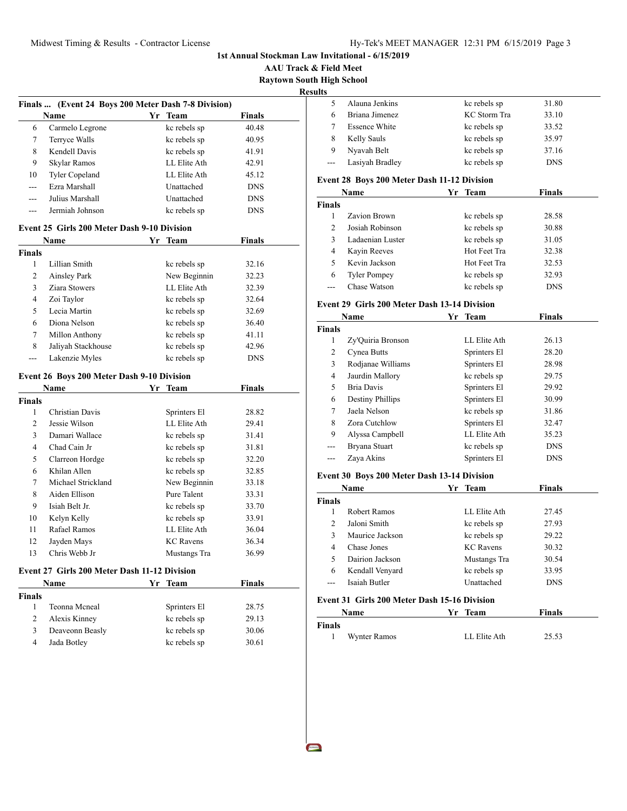**AAU Track & Field Meet Raytown South High School**

|--|

**Second** 

|     | Name                  | Yr Team           | <b>Finals</b> |
|-----|-----------------------|-------------------|---------------|
| 6   | Carmelo Legrone       | kc rebels sp      | 40.48         |
| 7   | Terryce Walls         | kc rebels sp      | 40.95         |
| 8   | Kendell Davis         | kc rebels sp      | 41.91         |
| 9   | Skylar Ramos          | LL Elite Ath      | 42.91         |
| 10  | <b>Tyler Copeland</b> | LL Elite Ath      | 45.12         |
| --- | Ezra Marshall         | Unattached        | <b>DNS</b>    |
| --- | Julius Marshall       | <b>Unattached</b> | <b>DNS</b>    |
| --- | Jermiah Johnson       | kc rebels sp      | <b>DNS</b>    |

### **Event 25 Girls 200 Meter Dash 9-10 Division**

| Name          |                    | Yr Team |              | <b>Finals</b> |  |
|---------------|--------------------|---------|--------------|---------------|--|
| <b>Finals</b> |                    |         |              |               |  |
| 1             | Lillian Smith      |         | kc rebels sp | 32.16         |  |
| 2             | Ainsley Park       |         | New Beginnin | 32.23         |  |
| 3             | Ziara Stowers      |         | LL Elite Ath | 32.39         |  |
| 4             | Zoi Taylor         |         | kc rebels sp | 32.64         |  |
| 5             | Lecia Martin       |         | kc rebels sp | 32.69         |  |
| 6             | Diona Nelson       |         | kc rebels sp | 36.40         |  |
| 7             | Millon Anthony     |         | kc rebels sp | 41.11         |  |
| 8             | Jaliyah Stackhouse |         | kc rebels sp | 42.96         |  |
|               | Lakenzie Myles     |         | kc rebels sp | <b>DNS</b>    |  |

#### **Event 26 Boys 200 Meter Dash 9-10 Division**

|        | <b>Name</b>        | Yr | <b>Team</b>      | <b>Finals</b> |  |
|--------|--------------------|----|------------------|---------------|--|
| Finals |                    |    |                  |               |  |
| 1      | Christian Davis    |    | Sprinters El     | 28.82         |  |
| 2      | Jessie Wilson      |    | LL Elite Ath     | 29.41         |  |
| 3      | Damari Wallace     |    | kc rebels sp     | 31.41         |  |
| 4      | Chad Cain Jr       |    | kc rebels sp     | 31.81         |  |
| 5      | Clarreon Hordge    |    | kc rebels sp     | 32.20         |  |
| 6      | Khilan Allen       |    | kc rebels sp     | 32.85         |  |
| 7      | Michael Strickland |    | New Beginnin     | 33.18         |  |
| 8      | Aiden Ellison      |    | Pure Talent      | 33.31         |  |
| 9      | Isiah Belt Jr.     |    | kc rebels sp     | 33.70         |  |
| 10     | Kelyn Kelly        |    | kc rebels sp     | 33.91         |  |
| 11     | Rafael Ramos       |    | LL Elite Ath     | 36.04         |  |
| 12     | Jayden Mays        |    | <b>KC</b> Ravens | 36.34         |  |
| 13     | Chris Webb Jr      |    | Mustangs Tra     | 36.99         |  |

#### **Event 27 Girls 200 Meter Dash 11-12 Division**

| Name          |                 | Yr Team      | <b>Finals</b> |  |
|---------------|-----------------|--------------|---------------|--|
| <b>Finals</b> |                 |              |               |  |
|               | Teonna Mcneal   | Sprinters El | 28.75         |  |
| 2             | Alexis Kinney   | kc rebels sp | 29.13         |  |
| 3             | Deaveonn Beasly | kc rebels sp | 30.06         |  |
| 4             | Jada Botley     | kc rebels sp | 30.61         |  |

| Alauna Jenkins       | kc rebels sp | 31.80      |  |
|----------------------|--------------|------------|--|
| Briana Jimenez       | KC Storm Tra | 33.10      |  |
| <b>Essence White</b> | kc rebels sp | 33.52      |  |
| Kelly Sauls          | kc rebels sp | 35.97      |  |
| Nyavah Belt          | kc rebels sp | 37.16      |  |
| Lasiyah Bradley      | kc rebels sp | <b>DNS</b> |  |

#### **Event 28 Boys 200 Meter Dash 11-12 Division**

|                | Name                | Yr Team      | <b>Finals</b> |
|----------------|---------------------|--------------|---------------|
| <b>Finals</b>  |                     |              |               |
|                | Zavion Brown        | kc rebels sp | 28.58         |
| $\mathfrak{D}$ | Josiah Robinson     | kc rebels sp | 30.88         |
| 3              | Ladaenian Luster    | kc rebels sp | 31.05         |
| 4              | Kayin Reeves        | Hot Feet Tra | 32.38         |
| 5              | Kevin Jackson       | Hot Feet Tra | 32.53         |
| 6              | <b>Tyler Pompey</b> | kc rebels sp | 32.93         |
|                | Chase Watson        | kc rebels sp | <b>DNS</b>    |

## **Event 29 Girls 200 Meter Dash 13-14 Division**

|               | Name              | Team<br>Yr   | <b>Finals</b> |  |
|---------------|-------------------|--------------|---------------|--|
| <b>Finals</b> |                   |              |               |  |
| 1             | Zy'Ouiria Bronson | LL Elite Ath | 26.13         |  |
| 2             | Cynea Butts       | Sprinters El | 28.20         |  |
| 3             | Rodianae Williams | Sprinters El | 28.98         |  |
| 4             | Jaurdin Mallory   | kc rebels sp | 29.75         |  |
| 5             | <b>Bria Davis</b> | Sprinters El | 29.92         |  |
| 6             | Destiny Phillips  | Sprinters El | 30.99         |  |
| 7             | Jaela Nelson      | kc rebels sp | 31.86         |  |
| 8             | Zora Cutchlow     | Sprinters El | 32.47         |  |
| 9             | Alyssa Campbell   | LL Elite Ath | 35.23         |  |
| ---           | Bryana Stuart     | kc rebels sp | <b>DNS</b>    |  |
|               | Zaya Akins        | Sprinters El | <b>DNS</b>    |  |
|               |                   |              |               |  |

## **Event 30 Boys 200 Meter Dash 13-14 Division**

|               | Name                                         | Team<br>Yr |                  | Finals     |  |
|---------------|----------------------------------------------|------------|------------------|------------|--|
| <b>Finals</b> |                                              |            |                  |            |  |
|               | Robert Ramos                                 |            | LL Elite Ath     | 27.45      |  |
| 2             | Jaloni Smith                                 |            | kc rebels sp     | 27.93      |  |
| 3             | Maurice Jackson                              |            | kc rebels sp     | 29.22      |  |
| 4             | Chase Jones                                  |            | <b>KC</b> Ravens | 30.32      |  |
| 5             | Dairion Jackson                              |            | Mustangs Tra     | 30.54      |  |
| 6             | Kendall Venyard                              |            | kc rebels sp     | 33.95      |  |
|               | Isaiah Butler                                |            | Unattached       | <b>DNS</b> |  |
|               | Event 31 Girls 200 Meter Dash 15-16 Division |            |                  |            |  |

|        | <b>Name</b>  | Yr Team      | <b>Finals</b> |  |
|--------|--------------|--------------|---------------|--|
| Finals |              |              |               |  |
|        | Wynter Ramos | LL Elite Ath | 25.53         |  |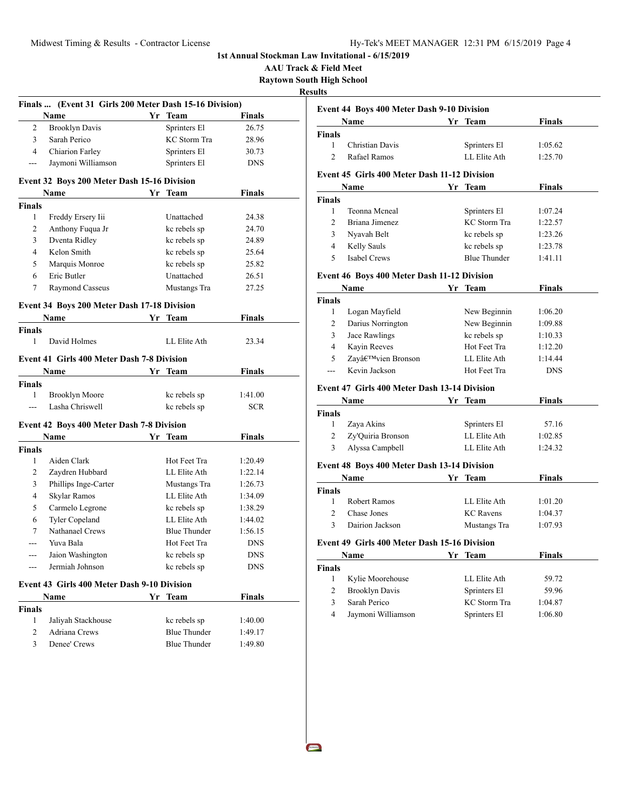**AAU Track & Field Meet Raytown South High School**

**Resul** 

 $\sim$ 

|                | Finals  (Event 31 Girls 200 Meter Dash 15-16 Division) |    |                     |               |
|----------------|--------------------------------------------------------|----|---------------------|---------------|
|                | Name                                                   |    | Yr Team             | Finals        |
| 2              | <b>Brooklyn Davis</b>                                  |    | Sprinters El        | 26.75         |
| 3              | Sarah Perico                                           |    | KC Storm Tra        | 28.96         |
| 4              | Chiarion Farley                                        |    | Sprinters El        | 30.73         |
| ---            | Jaymoni Williamson                                     |    | Sprinters El        | <b>DNS</b>    |
|                | Event 32 Boys 200 Meter Dash 15-16 Division            |    |                     |               |
|                | Name                                                   |    | Yr Team             | <b>Finals</b> |
| <b>Finals</b>  |                                                        |    |                     |               |
| 1              | Freddy Ersery Iii                                      |    | Unattached          | 24.38         |
| 2              | Anthony Fuqua Jr                                       |    | kc rebels sp        | 24.70         |
| 3              | Dventa Ridley                                          |    | kc rebels sp        | 24.89         |
| 4              | Kelon Smith                                            |    | kc rebels sp        | 25.64         |
| 5              | Marquis Monroe                                         |    | kc rebels sp        | 25.82         |
| 6              | Eric Butler                                            |    | Unattached          | 26.51         |
| 7              | Raymond Casseus                                        |    | Mustangs Tra        | 27.25         |
|                |                                                        |    |                     |               |
|                | <b>Event 34 Boys 200 Meter Dash 17-18 Division</b>     |    |                     |               |
|                | Name                                                   |    | Yr Team             | <b>Finals</b> |
| <b>Finals</b>  |                                                        |    |                     |               |
| 1              | David Holmes                                           |    | LL Elite Ath        | 23.34         |
|                | <b>Event 41 Girls 400 Meter Dash 7-8 Division</b>      |    |                     |               |
|                | Name                                                   |    | Yr Team             | Finals        |
| Finals         |                                                        |    |                     |               |
| 1              | <b>Brooklyn Moore</b>                                  |    | kc rebels sp        | 1:41.00       |
| $- - -$        | Lasha Chriswell                                        |    | kc rebels sp        | <b>SCR</b>    |
|                |                                                        |    |                     |               |
|                | Event 42 Boys 400 Meter Dash 7-8 Division              |    |                     |               |
|                | <b>Name</b>                                            | Yr | <b>Team</b>         | <b>Finals</b> |
| <b>Finals</b>  |                                                        |    |                     |               |
| 1              | Aiden Clark                                            |    | Hot Feet Tra        | 1:20.49       |
| 2              | Zaydren Hubbard                                        |    | LL Elite Ath        | 1:22.14       |
| 3              | Phillips Inge-Carter                                   |    | Mustangs Tra        | 1:26.73       |
| 4              | Skylar Ramos                                           |    | LL Elite Ath        | 1:34.09       |
| 5              | Carmelo Legrone                                        |    | kc rebels sp        | 1:38.29       |
| 6              | Tyler Copeland                                         |    | LL Elite Ath        | 1:44.02       |
| 7              | Nathanael Crews                                        |    | <b>Blue Thunder</b> | 1:56.15       |
| ---            | Yuva Bala                                              |    | Hot Feet Tra        | DNS           |
| ---            | Jaion Washington                                       |    | kc rebels sp        | <b>DNS</b>    |
| ---            | Jermiah Johnson                                        |    | kc rebels sp        | <b>DNS</b>    |
|                | Event 43 Girls 400 Meter Dash 9-10 Division            |    |                     |               |
|                | Name                                                   |    | Yr Team             | <b>Finals</b> |
| <b>Finals</b>  |                                                        |    |                     |               |
| 1              | Jaliyah Stackhouse                                     |    | kc rebels sp        | 1:40.00       |
| $\overline{2}$ | Adriana Crews                                          |    | <b>Blue Thunder</b> | 1:49.17       |
| 3              | Denee' Crews                                           |    | <b>Blue Thunder</b> | 1:49.80       |
|                |                                                        |    |                     |               |

|                               | <b>Event 44 Boys 400 Meter Dash 9-10 Division</b>   |    |                                     |                    |
|-------------------------------|-----------------------------------------------------|----|-------------------------------------|--------------------|
|                               | Name                                                |    | Yr Team                             | <b>Finals</b>      |
| <b>Finals</b>                 |                                                     |    |                                     |                    |
| 1                             | <b>Christian Davis</b>                              |    | Sprinters El                        | 1:05.62            |
| $\overline{2}$                | Rafael Ramos                                        |    | LL Elite Ath                        | 1:25.70            |
|                               | <b>Event 45 Girls 400 Meter Dash 11-12 Division</b> |    |                                     |                    |
|                               | Name                                                |    | Yr Team                             | <b>Finals</b>      |
| <b>Finals</b>                 |                                                     |    |                                     |                    |
| 1                             | Teonna Mcneal                                       |    | Sprinters El                        | 1:07.24            |
| $\overline{c}$                | Briana Jimenez                                      |    | <b>KC</b> Storm Tra                 | 1:22.57            |
| 3                             | Nyavah Belt                                         |    | kc rebels sp                        | 1:23.26            |
| 4                             | Kelly Sauls                                         |    | kc rebels sp                        | 1:23.78            |
| 5                             | Isabel Crews                                        |    | <b>Blue Thunder</b>                 | 1:41.11            |
|                               | Event 46 Boys 400 Meter Dash 11-12 Division         |    |                                     |                    |
|                               | Name                                                |    | Yr Team                             | <b>Finals</b>      |
| <b>Finals</b>                 |                                                     |    |                                     |                    |
| 1                             | Logan Mayfield                                      |    | New Beginnin                        | 1:06.20            |
| 2                             | Darius Norrington                                   |    | New Beginnin                        | 1:09.88            |
| 3                             | Jace Rawlings                                       |    | kc rebels sp                        | 1:10.33            |
| $\overline{4}$                | Kayin Reeves                                        |    | Hot Feet Tra                        | 1:12.20            |
| 5                             | Zay'vien Bronson                                    |    | LL Elite Ath                        | 1:14.44            |
| ---                           | Kevin Jackson                                       |    | Hot Feet Tra                        | <b>DNS</b>         |
|                               | <b>Event 47 Girls 400 Meter Dash 13-14 Division</b> |    |                                     |                    |
|                               | Name                                                |    | Yr Team                             | Finals             |
| <b>Finals</b>                 |                                                     |    |                                     |                    |
| $\mathbf{1}$                  | Zaya Akins                                          |    | Sprinters El                        | 57.16              |
| $\overline{c}$                | Zy'Quiria Bronson                                   |    | LL Elite Ath                        | 1:02.85            |
| 3                             | Alyssa Campbell                                     |    | LL Elite Ath                        | 1:24.32            |
|                               | <b>Event 48 Boys 400 Meter Dash 13-14 Division</b>  |    |                                     |                    |
|                               | Name                                                | Yr | <b>Team</b>                         | Finals             |
| <b>Finals</b>                 |                                                     |    |                                     |                    |
| $\mathbf{1}$                  | <b>Robert Ramos</b>                                 |    | LL Elite Ath                        | 1:01.20            |
| $\overline{c}$                | Chase Jones                                         |    | <b>KC</b> Ravens                    | 1:04.37            |
| 3                             | Dairion Jackson                                     |    | Mustangs Tra                        | 1:07.93            |
|                               | Event 49 Girls 400 Meter Dash 15-16 Division        |    |                                     |                    |
|                               | Name                                                |    | Yr Team                             | Finals             |
| <b>Finals</b>                 |                                                     |    |                                     |                    |
|                               | Kylie Moorehouse                                    |    | LL Elite Ath                        | 59.72              |
| $\mathbf{1}$                  |                                                     |    |                                     |                    |
| $\overline{2}$                | <b>Brooklyn Davis</b>                               |    | Sprinters El                        | 59.96              |
| 3<br>$\overline{\mathcal{L}}$ | Sarah Perico<br>Jaymoni Williamson                  |    | <b>KC</b> Storm Tra<br>Sprinters El | 1:04.87<br>1:06.80 |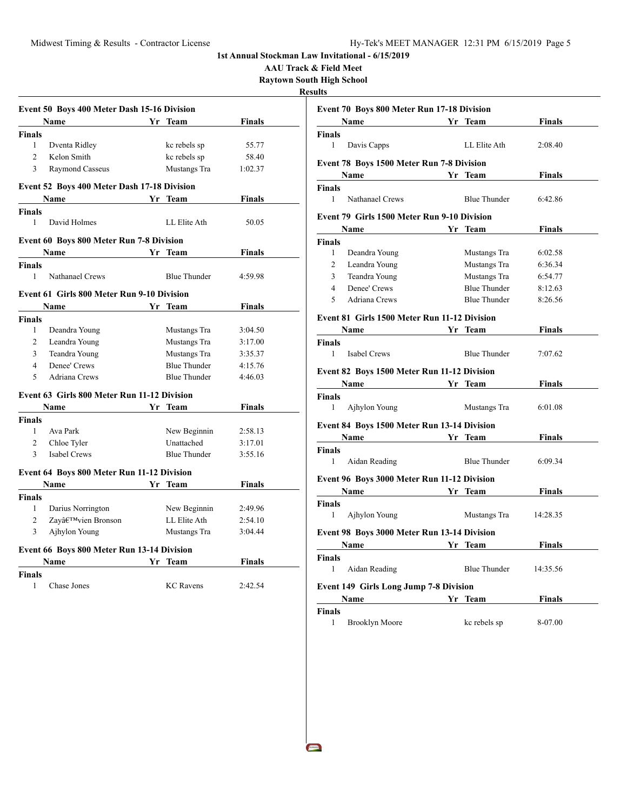**AAU Track & Field Meet**

**Raytown South High School**

**Results**

 $\blacksquare$ 

|                | Event 50 Boys 400 Meter Dash 15-16 Division        |                     |               |
|----------------|----------------------------------------------------|---------------------|---------------|
|                | <b>Name</b>                                        | Yr Team             | <b>Finals</b> |
| <b>Finals</b>  |                                                    |                     |               |
| 1              | Dventa Ridley                                      | kc rebels sp        | 55.77         |
| $\overline{2}$ | Kelon Smith                                        | kc rebels sp        | 58.40         |
| 3              | Raymond Casseus                                    | Mustangs Tra        | 1:02.37       |
|                | <b>Event 52 Boys 400 Meter Dash 17-18 Division</b> |                     |               |
|                | <b>Name</b>                                        | Yr Team             | Finals        |
| <b>Finals</b>  |                                                    |                     |               |
| $\mathbf{1}$   | David Holmes                                       | LL Elite Ath        | 50.05         |
|                | <b>Event 60 Boys 800 Meter Run 7-8 Division</b>    |                     |               |
|                | Name                                               | Yr Team             | Finals        |
| <b>Finals</b>  |                                                    |                     |               |
| $\mathbf{1}$   | Nathanael Crews                                    | <b>Blue Thunder</b> | 4:59.98       |
|                | <b>Event 61 Girls 800 Meter Run 9-10 Division</b>  |                     |               |
|                | <b>Name</b>                                        | Yr Team             | <b>Finals</b> |
| <b>Finals</b>  |                                                    |                     |               |
| $\mathbf{1}$   | Deandra Young                                      | Mustangs Tra        | 3:04.50       |
| $\overline{2}$ | Leandra Young                                      | Mustangs Tra        | 3:17.00       |
| 3              | Teandra Young                                      | Mustangs Tra        | 3:35.37       |
| $\overline{4}$ | Denee' Crews                                       | <b>Blue Thunder</b> | 4:15.76       |
| 5              | Adriana Crews                                      | <b>Blue Thunder</b> | 4:46.03       |
|                | Event 63 Girls 800 Meter Run 11-12 Division        |                     |               |
|                | Name                                               | Yr Team             | Finals        |
| <b>Finals</b>  |                                                    |                     |               |
| 1              | Ava Park                                           | New Beginnin        | 2:58.13       |
| $\mathfrak{D}$ | Chloe Tyler                                        | <b>Unattached</b>   | 3:17.01       |
| 3              | Isabel Crews                                       | <b>Blue Thunder</b> | 3:55.16       |
|                | Event 64 Boys 800 Meter Run 11-12 Division         |                     |               |
|                | Name                                               | Yr Team             | Finals        |
| <b>Finals</b>  |                                                    |                     |               |
| $\mathbf{1}$   | Darius Norrington                                  | New Beginnin        | 2:49.96       |
| 2              | Zay'vien Bronson                                   | LL Elite Ath        | 2:54.10       |
| 3              | Ajhylon Young                                      | Mustangs Tra        | 3:04.44       |
|                | Event 66 Boys 800 Meter Run 13-14 Division         |                     |               |
|                | <b>Name</b>                                        | Yr Team             | Finals        |
|                |                                                    |                     |               |

| <b>Event 70 Boys 800 Meter Run 17-18 Division</b>                                                                                                                                                                             |                     |               |  |
|-------------------------------------------------------------------------------------------------------------------------------------------------------------------------------------------------------------------------------|---------------------|---------------|--|
| Name Yr Team                                                                                                                                                                                                                  |                     | <b>Finals</b> |  |
| Finals                                                                                                                                                                                                                        |                     |               |  |
| $\mathbf{1}$<br>Davis Capps                                                                                                                                                                                                   | LL Elite Ath        | 2:08.40       |  |
| <b>Event 78 Boys 1500 Meter Run 7-8 Division</b>                                                                                                                                                                              |                     |               |  |
| Name Yr Team                                                                                                                                                                                                                  |                     | <b>Finals</b> |  |
| <b>Finals</b>                                                                                                                                                                                                                 |                     |               |  |
| $\mathbf{1}$<br>Nathanael Crews                                                                                                                                                                                               | <b>Blue Thunder</b> | 6:42.86       |  |
| <b>Event 79 Girls 1500 Meter Run 9-10 Division</b>                                                                                                                                                                            |                     |               |  |
| Name                                                                                                                                                                                                                          | Yr Team             | <b>Finals</b> |  |
| <b>Finals</b>                                                                                                                                                                                                                 |                     |               |  |
| $\mathbf{1}$<br>Deandra Young                                                                                                                                                                                                 | Mustangs Tra        | 6:02.58       |  |
| $\overline{2}$<br>Leandra Young                                                                                                                                                                                               | Mustangs Tra        | 6:36.34       |  |
| 3<br>Teandra Young                                                                                                                                                                                                            | Mustangs Tra        | 6:54.77       |  |
| $\overline{4}$<br>Denee' Crews                                                                                                                                                                                                | <b>Blue Thunder</b> | 8:12.63       |  |
| 5<br>Adriana Crews                                                                                                                                                                                                            | <b>Blue Thunder</b> | 8:26.56       |  |
| Event 81 Girls 1500 Meter Run 11-12 Division                                                                                                                                                                                  |                     |               |  |
| Name Yr Team                                                                                                                                                                                                                  |                     | <b>Finals</b> |  |
| Finals                                                                                                                                                                                                                        |                     |               |  |
| 1<br><b>Isabel Crews</b>                                                                                                                                                                                                      | <b>Blue Thunder</b> | 7:07.62       |  |
| Event 82 Boys 1500 Meter Run 11-12 Division                                                                                                                                                                                   |                     |               |  |
| Name and the same state of the state of the state of the state of the state of the state of the state of the state of the state of the state of the state of the state of the state of the state of the state of the state of | Yr Team             | <b>Finals</b> |  |
| <b>Finals</b>                                                                                                                                                                                                                 |                     |               |  |
| $\mathbf{1}$<br>Ajhylon Young                                                                                                                                                                                                 | Mustangs Tra        | 6:01.08       |  |
| Event 84 Boys 1500 Meter Run 13-14 Division                                                                                                                                                                                   |                     |               |  |
| <b>Example 18 Yr</b> Team<br>Name                                                                                                                                                                                             |                     | Finals        |  |
| Finals                                                                                                                                                                                                                        |                     |               |  |
| 1<br>Aidan Reading                                                                                                                                                                                                            | <b>Blue Thunder</b> | 6:09.34       |  |
| Event 96 Boys 3000 Meter Run 11-12 Division                                                                                                                                                                                   |                     |               |  |
|                                                                                                                                                                                                                               | Yr Team             | <b>Finals</b> |  |
| <b>Finals</b>                                                                                                                                                                                                                 |                     |               |  |
| $\mathbf{1}$<br>Ajhylon Young                                                                                                                                                                                                 | Mustangs Tra        | 14:28.35      |  |
| <b>Event 98 Boys 3000 Meter Run 13-14 Division</b>                                                                                                                                                                            |                     |               |  |
| <b>Name</b><br><b>Solution</b> Section 2 and Section 2 and 2 and 2 and 2 and 2 and 2 and 2 and 2 and 2 and 2 and 2 and 2 and 2 and 2                                                                                          |                     | <b>Finals</b> |  |
| <b>Finals</b>                                                                                                                                                                                                                 |                     |               |  |
| $\mathbf{1}$<br>Aidan Reading                                                                                                                                                                                                 | <b>Blue Thunder</b> | 14:35.56      |  |
| <b>Event 149 Girls Long Jump 7-8 Division</b>                                                                                                                                                                                 |                     |               |  |
|                                                                                                                                                                                                                               | Yr Team             | <b>Finals</b> |  |
| Name                                                                                                                                                                                                                          |                     |               |  |
| Finals                                                                                                                                                                                                                        |                     |               |  |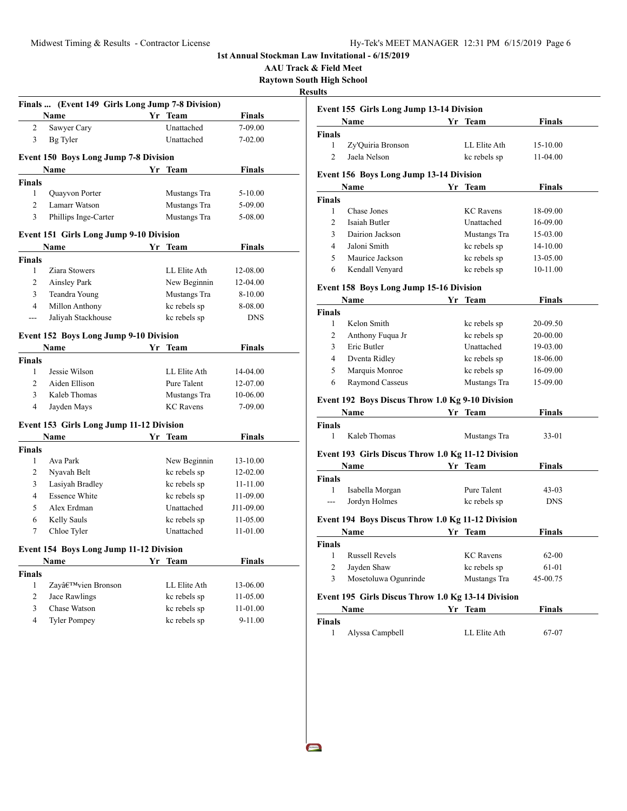**AAU Track & Field Meet Raytown South High School**

**Results**

|                | Finals  (Event 149 Girls Long Jump 7-8 Division) |    |                  |               |
|----------------|--------------------------------------------------|----|------------------|---------------|
|                | Name                                             |    | Yr Team          | <b>Finals</b> |
| 2              | Sawyer Cary                                      |    | Unattached       | 7-09.00       |
| 3              | Bg Tyler                                         |    | Unattached       | 7-02.00       |
|                | <b>Event 150 Boys Long Jump 7-8 Division</b>     |    |                  |               |
|                | Name                                             |    | Yr Team          | <b>Finals</b> |
| <b>Finals</b>  |                                                  |    |                  |               |
| 1              | Quayvon Porter                                   |    | Mustangs Tra     | 5-10.00       |
| $\overline{2}$ | Lamarr Watson                                    |    | Mustangs Tra     | 5-09.00       |
| 3              | Phillips Inge-Carter                             |    | Mustangs Tra     | 5-08.00       |
|                | <b>Event 151 Girls Long Jump 9-10 Division</b>   |    |                  |               |
|                | Name                                             |    | Yr Team          | Finals        |
| <b>Finals</b>  |                                                  |    |                  |               |
| 1              | Ziara Stowers                                    |    | LL Elite Ath     | 12-08.00      |
| 2              | Ainsley Park                                     |    | New Beginnin     | 12-04.00      |
| 3              | Teandra Young                                    |    | Mustangs Tra     | 8-10.00       |
| 4              | Millon Anthony                                   |    | kc rebels sp     | 8-08.00       |
| ---            | Jaliyah Stackhouse                               |    | kc rebels sp     | <b>DNS</b>    |
|                | <b>Event 152 Boys Long Jump 9-10 Division</b>    |    |                  |               |
|                | <b>Name</b>                                      |    | Yr Team          | Finals        |
| Finals         |                                                  |    |                  |               |
| 1              | Jessie Wilson                                    |    | LL Elite Ath     | 14-04.00      |
| $\overline{2}$ | Aiden Ellison                                    |    | Pure Talent      | 12-07.00      |
| 3              | Kaleb Thomas                                     |    | Mustangs Tra     | 10-06.00      |
| 4              | Jayden Mays                                      |    | <b>KC</b> Ravens | 7-09.00       |
|                | Event 153 Girls Long Jump 11-12 Division         |    |                  |               |
|                | Name                                             | Yr | Team             | Finals        |
| <b>Finals</b>  |                                                  |    |                  |               |
| 1              | Ava Park                                         |    | New Beginnin     | 13-10.00      |
| 2              | Nyavah Belt                                      |    | kc rebels sp     | 12-02.00      |
| 3              | Lasiyah Bradley                                  |    | kc rebels sp     | 11-11.00      |
| 4              | <b>Essence White</b>                             |    | kc rebels sp     | 11-09.00      |
| 5              | Alex Erdman                                      |    | Unattached       | J11-09.00     |
| 6              | Kelly Sauls                                      |    | kc rebels sp     | 11-05.00      |
| 7              | Chloe Tyler                                      |    | Unattached       | 11-01.00      |
|                | Event 154 Boys Long Jump 11-12 Division          |    |                  |               |
|                | <b>Name</b>                                      | Yr | <b>Team</b>      | <b>Finals</b> |
| <b>Finals</b>  |                                                  |    |                  |               |
| 1              | Zay'vien Bronson                                 |    | LL Elite Ath     | 13-06.00      |
| $\overline{c}$ | Jace Rawlings                                    |    | kc rebels sp     | 11-05.00      |
| 3              | Chase Watson                                     |    | kc rebels sp     | 11-01.00      |
| 4              | <b>Tyler Pompey</b>                              |    | kc rebels sp     | 9-11.00       |
|                |                                                  |    |                  |               |
|                |                                                  |    |                  |               |

|                | <b>Event 155 Girls Long Jump 13-14 Division</b>           |                  |               |
|----------------|-----------------------------------------------------------|------------------|---------------|
|                | Name                                                      | Yr Team          | Finals        |
| Finals         |                                                           |                  |               |
| 1              | Zy'Quiria Bronson                                         | LL Elite Ath     | 15-10.00      |
| $\overline{2}$ | Jaela Nelson                                              | kc rebels sp     | 11-04.00      |
|                | <b>Event 156 Boys Long Jump 13-14 Division</b>            |                  |               |
|                | <b>Name</b>                                               | Yr Team          | <b>Finals</b> |
| <b>Finals</b>  |                                                           |                  |               |
| $\mathbf{1}$   | Chase Jones                                               | <b>KC</b> Ravens | 18-09.00      |
| $\overline{c}$ | Isaiah Butler                                             | Unattached       | 16-09.00      |
| 3              | Dairion Jackson                                           | Mustangs Tra     | 15-03.00      |
| 4              | Jaloni Smith                                              | kc rebels sp     | 14-10.00      |
| 5              | Maurice Jackson                                           | kc rebels sp     | 13-05.00      |
| 6              | Kendall Venyard                                           | kc rebels sp     | 10-11.00      |
|                | <b>Event 158 Boys Long Jump 15-16 Division</b>            |                  |               |
|                | <b>Name</b>                                               | Yr Team          | <b>Finals</b> |
| <b>Finals</b>  |                                                           |                  |               |
| 1              | Kelon Smith                                               | kc rebels sp     | 20-09.50      |
| $\overline{c}$ | Anthony Fuqua Jr                                          | kc rebels sp     | 20-00.00      |
| 3              | Eric Butler                                               | Unattached       | 19-03.00      |
| 4              | Dventa Ridley                                             | kc rebels sp     | 18-06.00      |
| 5              | Marquis Monroe                                            | kc rebels sp     | 16-09.00      |
| 6              | Raymond Casseus                                           | Mustangs Tra     | 15-09.00      |
|                | Event 192 Boys Discus Throw 1.0 Kg 9-10 Division          |                  |               |
|                | Name                                                      | Yr Team          | Finals        |
| Finals         |                                                           |                  |               |
| 1              | Kaleb Thomas                                              | Mustangs Tra     | $33-01$       |
|                | Event 193 Girls Discus Throw 1.0 Kg 11-12 Division        |                  |               |
|                | Name                                                      | Yr Team          | <b>Finals</b> |
| <b>Finals</b>  |                                                           |                  |               |
| $\mathbf{1}$   | Isabella Morgan                                           | Pure Talent      | $43-03$       |
|                | Jordyn Holmes                                             | kc rebels sp     | <b>DNS</b>    |
|                |                                                           |                  |               |
|                | Event 194 Boys Discus Throw 1.0 Kg 11-12 Division<br>Name | Yr Team          | <b>Finals</b> |
| <b>Finals</b>  |                                                           |                  |               |
| 1              | <b>Russell Revels</b>                                     | <b>KC</b> Ravens | $62 - 00$     |
| $\overline{c}$ | Jayden Shaw                                               | kc rebels sp     | 61-01         |
| 3              | Mosetoluwa Ogunrinde                                      | Mustangs Tra     | 45-00.75      |
|                |                                                           |                  |               |
|                | Event 195 Girls Discus Throw 1.0 Kg 13-14 Division        |                  |               |
|                | Name                                                      | Yr Team          | Finals        |

| Finals |                 |              |       |  |
|--------|-----------------|--------------|-------|--|
|        | Alyssa Campbell | LL Elite Ath | 67-07 |  |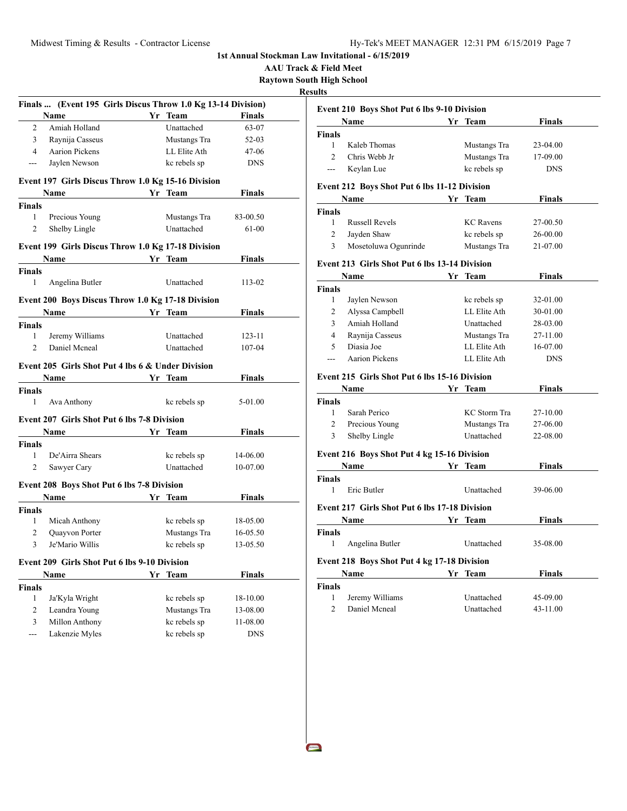**AAU Track & Field Meet**

**Raytown South High School Results**

|                | Finals  (Event 195 Girls Discus Throw 1.0 Kg 13-14 Division) |    |              |               |
|----------------|--------------------------------------------------------------|----|--------------|---------------|
|                | Name                                                         |    | Yr Team      | Finals        |
| 2              | Amiah Holland                                                |    | Unattached   | 63-07         |
| 3              | Raynija Casseus                                              |    | Mustangs Tra | $52 - 03$     |
| 4              | <b>Aarion Pickens</b>                                        |    | LL Elite Ath | 47-06         |
| ---            | Jaylen Newson                                                |    | kc rebels sp | <b>DNS</b>    |
|                | Event 197 Girls Discus Throw 1.0 Kg 15-16 Division           |    |              |               |
|                | Name                                                         |    | Yr Team      | Finals        |
| <b>Finals</b>  |                                                              |    |              |               |
| 1              | Precious Young                                               |    | Mustangs Tra | 83-00.50      |
| 2              | Shelby Lingle                                                |    | Unattached   | 61-00         |
|                | Event 199 Girls Discus Throw 1.0 Kg 17-18 Division           |    |              |               |
|                | Name                                                         |    | Yr Team      | Finals        |
| Finals         |                                                              |    |              |               |
| 1              | Angelina Butler                                              |    | Unattached   | 113-02        |
|                | Event 200 Boys Discus Throw 1.0 Kg 17-18 Division            |    |              |               |
|                | Name Yr Team                                                 |    |              | <b>Finals</b> |
| Finals         |                                                              |    |              |               |
| 1              | Jeremy Williams                                              |    | Unattached   | 123-11        |
| $\overline{c}$ | Daniel Mcneal                                                |    | Unattached   | 107-04        |
|                | Event 205 Girls Shot Put 4 lbs 6 & Under Division            |    |              |               |
|                | <b>Name</b>                                                  | Yr | <b>Team</b>  | Finals        |
| Finals         |                                                              |    |              |               |
| 1              | Ava Anthony                                                  |    | kc rebels sp | 5-01.00       |
|                | <b>Event 207 Girls Shot Put 6 lbs 7-8 Division</b>           |    |              |               |
|                | Name                                                         | Yr | Team         | <b>Finals</b> |
| Finals         |                                                              |    |              |               |
| 1              | De'Airra Shears                                              |    | kc rebels sp | 14-06.00      |
| 2              | Sawyer Cary                                                  |    | Unattached   | 10-07.00      |
|                | <b>Event 208 Boys Shot Put 6 lbs 7-8 Division</b>            |    |              |               |
|                | Name                                                         |    | Yr Team      | Finals        |
| <b>Finals</b>  |                                                              |    |              |               |
| 1              | Micah Anthony                                                |    | kc rebels sp | 18-05.00      |
| 2              | Quayvon Porter                                               |    | Mustangs Tra | 16-05.50      |
| 3              | Je'Mario Willis                                              |    | kc rebels sp | 13-05.50      |
|                |                                                              |    |              |               |
|                | <b>Event 209 Girls Shot Put 6 lbs 9-10 Division</b>          |    |              |               |
|                | Name                                                         | Yr | Team         | Finals        |
| <b>Finals</b>  |                                                              |    |              |               |
| 1              | Ja'Kyla Wright                                               |    | kc rebels sp | 18-10.00      |
| 2              | Leandra Young                                                |    | Mustangs Tra | 13-08.00      |
| 3              | Millon Anthony                                               |    | kc rebels sp | 11-08.00      |
| ---            | Lakenzie Myles                                               |    | kc rebels sp | <b>DNS</b>    |
|                |                                                              |    |              |               |

|                | <b>Event 210 Boys Shot Put 6 lbs 9-10 Division</b>   |    |                     |               |
|----------------|------------------------------------------------------|----|---------------------|---------------|
|                | Name                                                 |    | Yr Team             | Finals        |
| <b>Finals</b>  |                                                      |    |                     |               |
| $\mathbf{1}$   | Kaleb Thomas                                         |    | Mustangs Tra        | 23-04.00      |
| $\overline{2}$ | Chris Webb Jr                                        |    | Mustangs Tra        | 17-09.00      |
| ---            | Keylan Lue                                           |    | kc rebels sp        | <b>DNS</b>    |
|                | Event 212 Boys Shot Put 6 lbs 11-12 Division         |    |                     |               |
|                | <b>Name</b>                                          |    | Yr Team             | <b>Finals</b> |
| <b>Finals</b>  |                                                      |    |                     |               |
| 1              | <b>Russell Revels</b>                                |    | <b>KC</b> Ravens    | 27-00.50      |
| $\overline{c}$ | Jayden Shaw                                          |    | kc rebels sp        | 26-00.00      |
| 3              | Mosetoluwa Ogunrinde                                 |    | Mustangs Tra        | 21-07.00      |
|                | Event 213 Girls Shot Put 6 lbs 13-14 Division        |    |                     |               |
|                | Name                                                 | Yr | <b>Team</b>         | Finals        |
| <b>Finals</b>  |                                                      |    |                     |               |
| 1              | Jaylen Newson                                        |    | kc rebels sp        | 32-01.00      |
| $\overline{2}$ | Alyssa Campbell                                      |    | LL Elite Ath        | 30-01.00      |
| $\overline{3}$ | Amiah Holland                                        |    | Unattached          | 28-03.00      |
| $\overline{4}$ | Raynija Casseus                                      |    | Mustangs Tra        | 27-11.00      |
| 5              | Diasia Joe                                           |    | LL Elite Ath        | 16-07.00      |
| $\sim$         | Aarion Pickens                                       |    | LL Elite Ath        | <b>DNS</b>    |
|                | Event 215 Girls Shot Put 6 lbs 15-16 Division        |    |                     |               |
|                | Name                                                 |    | Yr Team             | <b>Finals</b> |
| <b>Finals</b>  |                                                      |    |                     |               |
| $\mathbf{1}$   | Sarah Perico                                         |    | <b>KC</b> Storm Tra | 27-10.00      |
| $\overline{c}$ | Precious Young                                       |    | Mustangs Tra        | 27-06.00      |
| 3              | Shelby Lingle                                        |    | Unattached          | 22-08.00      |
|                | Event 216 Boys Shot Put 4 kg 15-16 Division          |    |                     |               |
|                | <b>Name</b>                                          |    | Yr Team             | <b>Finals</b> |
| <b>Finals</b>  |                                                      |    |                     |               |
| 1              | Eric Butler                                          |    | Unattached          | 39-06.00      |
|                | <b>Event 217 Girls Shot Put 6 lbs 17-18 Division</b> |    |                     |               |
|                | <b>Name</b>                                          |    | Yr Team             | Finals        |
| <b>Finals</b>  |                                                      |    |                     |               |
| $\mathbf{1}$   | Angelina Butler                                      |    | Unattached          | 35-08.00      |
|                | Event 218 Boys Shot Put 4 kg 17-18 Division          |    |                     |               |
|                | Name                                                 |    | Yr Team             | Finals        |
| <b>Finals</b>  |                                                      |    |                     |               |
| 1              | Jeremy Williams                                      |    | Unattached          | 45-09.00      |
| $\overline{c}$ | Daniel Mcneal                                        |    | Unattached          | 43-11.00      |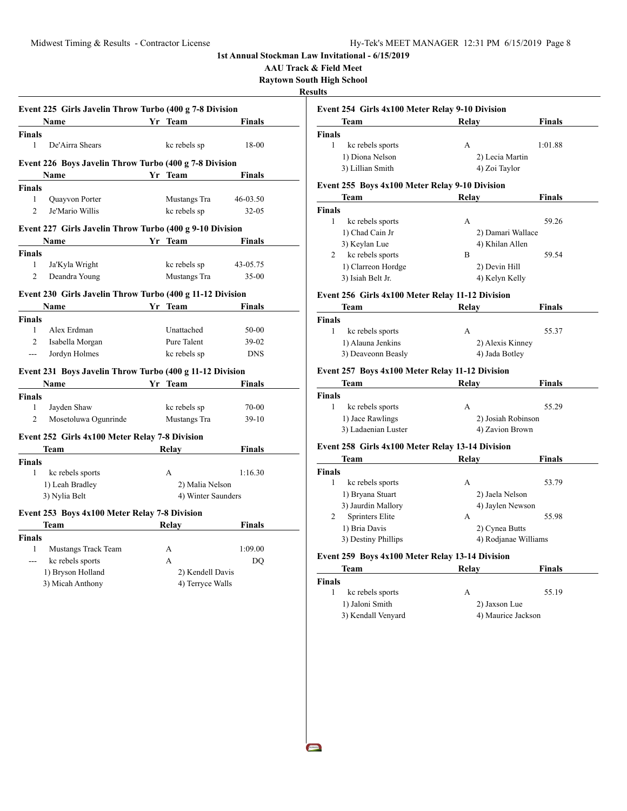**AAU Track & Field Meet**

**Raytown South High School**

## **Resu**

 $\blacksquare$ 

|                | <b>Name</b>                                                                                                                                                                                                                         |    | Yr Team            | <b>Finals</b> |
|----------------|-------------------------------------------------------------------------------------------------------------------------------------------------------------------------------------------------------------------------------------|----|--------------------|---------------|
| <b>Finals</b>  |                                                                                                                                                                                                                                     |    |                    |               |
| 1              | De'Airra Shears                                                                                                                                                                                                                     |    | kc rebels sp       | 18-00         |
|                | Event 226 Boys Javelin Throw Turbo (400 g 7-8 Division                                                                                                                                                                              |    |                    |               |
|                | Name                                                                                                                                                                                                                                | Yr | <b>Team</b>        | Finals        |
| <b>Finals</b>  |                                                                                                                                                                                                                                     |    |                    |               |
| 1              | Quayvon Porter                                                                                                                                                                                                                      |    | Mustangs Tra       | 46-03.50      |
| $\overline{c}$ | Je'Mario Willis                                                                                                                                                                                                                     |    | kc rebels sp       | $32 - 05$     |
|                | Event 227 Girls Javelin Throw Turbo (400 g 9-10 Division                                                                                                                                                                            |    |                    |               |
|                | <b>Name</b>                                                                                                                                                                                                                         |    | Yr Team            | <b>Finals</b> |
| <b>Finals</b>  |                                                                                                                                                                                                                                     |    |                    |               |
| 1              | Ja'Kyla Wright                                                                                                                                                                                                                      |    | kc rebels sp       | 43-05.75      |
| $\overline{c}$ | Deandra Young                                                                                                                                                                                                                       |    | Mustangs Tra       | $35 - 00$     |
|                | Event 230 Girls Javelin Throw Turbo (400 g 11-12 Division                                                                                                                                                                           |    |                    |               |
|                | <b>Name</b>                                                                                                                                                                                                                         |    | Yr Team            | <b>Finals</b> |
| <b>Finals</b>  |                                                                                                                                                                                                                                     |    |                    |               |
| 1              | Alex Erdman                                                                                                                                                                                                                         |    | Unattached         | $50-00$       |
| $\mathfrak{D}$ | Isabella Morgan                                                                                                                                                                                                                     |    | Pure Talent        | $39-02$       |
| $\overline{a}$ | Jordyn Holmes                                                                                                                                                                                                                       |    | kc rebels sp       | <b>DNS</b>    |
|                | Event 231 Boys Javelin Throw Turbo (400 g 11-12 Division                                                                                                                                                                            |    |                    |               |
|                | <b>Name</b>                                                                                                                                                                                                                         |    | Yr Team            | Finals        |
| <b>Finals</b>  |                                                                                                                                                                                                                                     |    |                    |               |
| $\mathbf{1}$   | Jayden Shaw                                                                                                                                                                                                                         |    | kc rebels sp       | 70-00         |
| 2              | Mosetoluwa Ogunrinde                                                                                                                                                                                                                |    | Mustangs Tra       | $39-10$       |
|                | Event 252 Girls 4x100 Meter Relay 7-8 Division                                                                                                                                                                                      |    |                    |               |
|                | Team                                                                                                                                                                                                                                |    | <b>Relay</b>       | Finals        |
| <b>Finals</b>  |                                                                                                                                                                                                                                     |    |                    |               |
| $\mathbf{1}$   | kc rebels sports                                                                                                                                                                                                                    |    | A                  | 1:16.30       |
|                | 1) Leah Bradley                                                                                                                                                                                                                     |    | 2) Malia Nelson    |               |
|                | 3) Nylia Belt                                                                                                                                                                                                                       |    | 4) Winter Saunders |               |
|                | Event 253 Boys 4x100 Meter Relay 7-8 Division                                                                                                                                                                                       |    |                    |               |
|                | <b>Team</b> and the state of the state of the state of the state of the state of the state of the state of the state of the state of the state of the state of the state of the state of the state of the state of the state of the |    | <b>Relay</b>       | Finals        |
| <b>Finals</b>  |                                                                                                                                                                                                                                     |    |                    |               |
| 1              | Mustangs Track Team                                                                                                                                                                                                                 |    | А                  | 1:09.00       |
|                |                                                                                                                                                                                                                                     |    | A                  | DO            |
| $\overline{a}$ | kc rebels sports                                                                                                                                                                                                                    |    |                    |               |
|                | 1) Bryson Holland                                                                                                                                                                                                                   |    | 2) Kendell Davis   |               |

| Team                                                              | Relay              | <b>Finals</b>        |  |
|-------------------------------------------------------------------|--------------------|----------------------|--|
| <b>Finals</b>                                                     |                    |                      |  |
| 1<br>kc rebels sports                                             | А                  | 1:01.88              |  |
| 1) Diona Nelson                                                   | 2) Lecia Martin    |                      |  |
| 3) Lillian Smith                                                  | 4) Zoi Taylor      |                      |  |
| Event 255 Boys 4x100 Meter Relay 9-10 Division                    |                    |                      |  |
| Team                                                              | Relay              | <b>Finals</b>        |  |
| <b>Finals</b>                                                     |                    |                      |  |
| 1<br>kc rebels sports                                             | A                  | 59.26                |  |
| 1) Chad Cain Jr                                                   | 2) Damari Wallace  |                      |  |
| 3) Keylan Lue                                                     | 4) Khilan Allen    |                      |  |
| kc rebels sports<br>2                                             | B                  | 59.54                |  |
| 1) Clarreon Hordge                                                | 2) Devin Hill      |                      |  |
| 3) Isiah Belt Jr.                                                 |                    | 4) Kelyn Kelly       |  |
| Event 256 Girls 4x100 Meter Relay 11-12 Division                  |                    |                      |  |
| Team                                                              | Relav              | Finals               |  |
| <b>Finals</b>                                                     |                    |                      |  |
| $\mathbf{1}$<br>kc rebels sports                                  | A                  | 55.37                |  |
| 1) Alauna Jenkins                                                 | 2) Alexis Kinney   |                      |  |
| 3) Deaveonn Beasly                                                |                    | 4) Jada Botley       |  |
| Event 257 Boys 4x100 Meter Relay 11-12 Division                   |                    |                      |  |
| Team                                                              | Relay              | Finals               |  |
|                                                                   |                    |                      |  |
|                                                                   |                    |                      |  |
| $\mathbf{1}$<br>kc rebels sports                                  | A                  | 55.29                |  |
| 1) Jace Rawlings                                                  | 2) Josiah Robinson |                      |  |
| 3) Ladaenian Luster                                               | 4) Zavion Brown    |                      |  |
| <b>Finals</b><br>Event 258 Girls 4x100 Meter Relay 13-14 Division |                    |                      |  |
| <b>Team</b>                                                       | Relay              | Finals               |  |
| <b>Finals</b>                                                     |                    |                      |  |
| 1<br>kc rebels sports                                             | А                  | 53.79                |  |
| 1) Bryana Stuart                                                  | 2) Jaela Nelson    |                      |  |
| 3) Jaurdin Mallory                                                | 4) Jaylen Newson   |                      |  |
| <b>Sprinters Elite</b><br>2                                       | А                  | 55.98                |  |
| 1) Bria Davis                                                     | 2) Cynea Butts     |                      |  |
| 3) Destiny Phillips                                               |                    | 4) Rodjanae Williams |  |
| Event 259 Boys 4x100 Meter Relay 13-14 Division                   |                    |                      |  |

|       | теаш |  | IXCIA V |  |
|-------|------|--|---------|--|
| inals |      |  |         |  |
|       |      |  |         |  |

| kc rebels sports   |                    | 55.19 |
|--------------------|--------------------|-------|
| 1) Jaloni Smith    | 2) Jaxson Lue      |       |
| 3) Kendall Venyard | 4) Maurice Jackson |       |